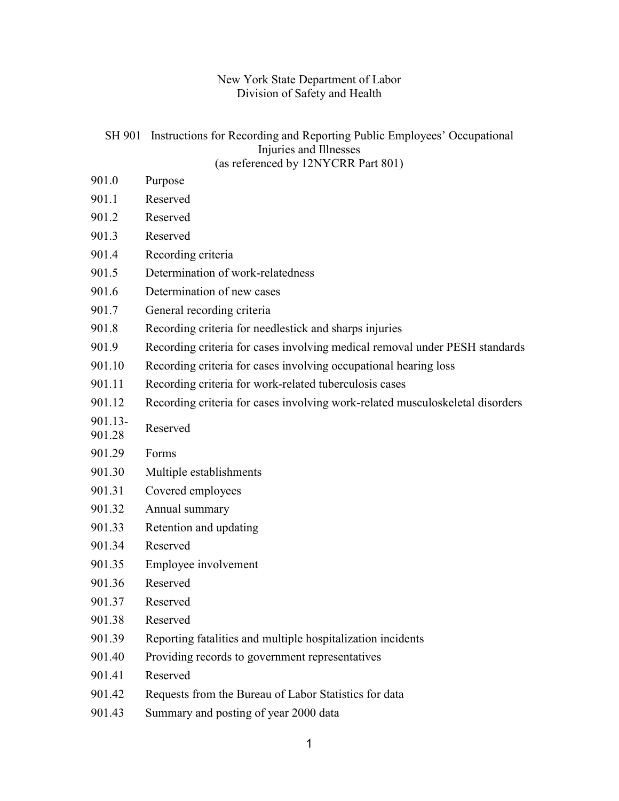# New York State Department of Labor Division of Safety and Health

### SH 901 Instructions for Recording and Reporting Public Employees' Occupational Injuries and Illnesses (as referenced by 12NYCRR Part 801)

- 901.0 Purpose
- 901.1 Reserved 901.2 Reserved
- 901.3 Reserved
- 901.4 Recording criteria
- 901.5 Determination of work-relatedness
- 901.6 Determination of new cases
- 901.7 General recording criteria
- 901.8 Recording criteria for needlestick and sharps injuries
- 901.9 Recording criteria for cases involving medical removal under PESH standards
- 901.10 Recording criteria for cases involving occupational hearing loss
- 901.11 Recording criteria for work-related tuberculosis cases
- 901.12 Recording criteria for cases involving work-related musculoskeletal disorders
- 901.13-  $901.13$ <sup>-</sup> Reserved
- 901.29 Forms
- 901.30 Multiple establishments
- 901.31 Covered employees
- 901.32 Annual summary
- 901.33 Retention and updating
- 901.34 Reserved
- 901.35 Employee involvement
- 901.36 Reserved
- 901.37 Reserved
- 901.38 Reserved
- 901.39 Reporting fatalities and multiple hospitalization incidents
- 901.40 Providing records to government representatives
- 901.41 Reserved
- 901.42 Requests from the Bureau of Labor Statistics for data
- 901.43 Summary and posting of year 2000 data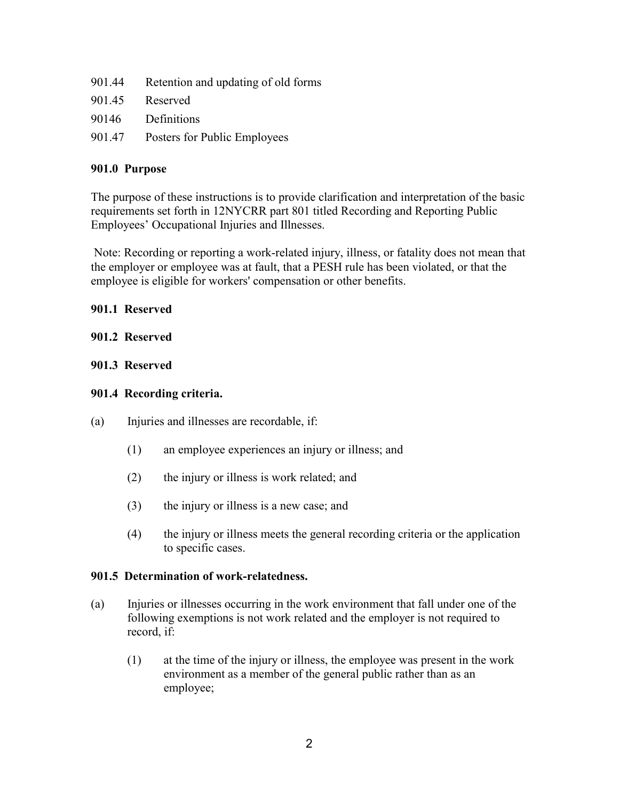| 901.44 | Retention and updating of old forms |
|--------|-------------------------------------|
| 901.45 | Reserved                            |
| 90146  | Definitions                         |
| 901.47 | Posters for Public Employees        |

### **901.0 Purpose**

The purpose of these instructions is to provide clarification and interpretation of the basic requirements set forth in 12NYCRR part 801 titled Recording and Reporting Public Employees' Occupational Injuries and Illnesses.

 Note: Recording or reporting a work-related injury, illness, or fatality does not mean that the employer or employee was at fault, that a PESH rule has been violated, or that the employee is eligible for workers' compensation or other benefits.

#### **901.1 Reserved**

#### **901.2 Reserved**

#### **901.3 Reserved**

#### **901.4 Recording criteria.**

- (a) Injuries and illnesses are recordable, if:
	- (1) an employee experiences an injury or illness; and
	- (2) the injury or illness is work related; and
	- (3) the injury or illness is a new case; and
	- (4) the injury or illness meets the general recording criteria or the application to specific cases.

#### **901.5 Determination of work-relatedness.**

- (a) Injuries or illnesses occurring in the work environment that fall under one of the following exemptions is not work related and the employer is not required to record, if:
	- (1) at the time of the injury or illness, the employee was present in the work environment as a member of the general public rather than as an employee;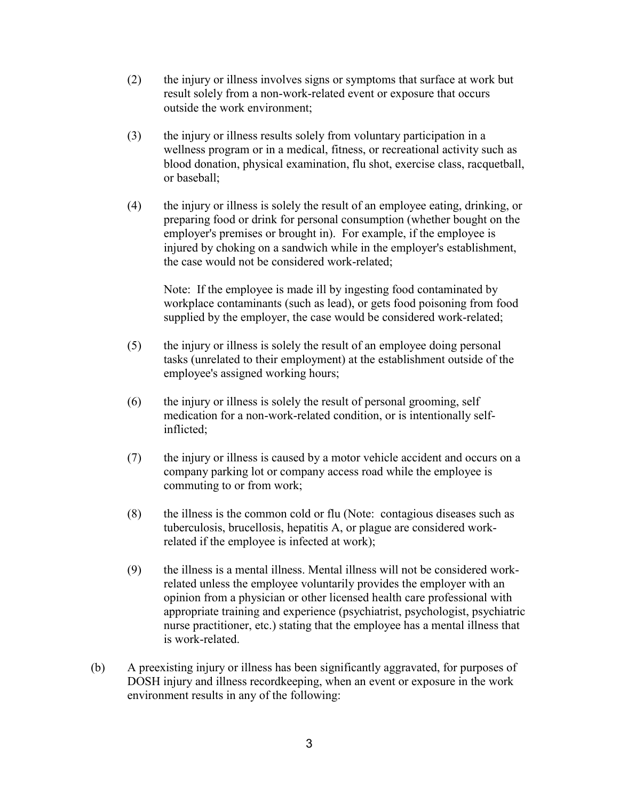- (2) the injury or illness involves signs or symptoms that surface at work but result solely from a non-work-related event or exposure that occurs outside the work environment;
- (3) the injury or illness results solely from voluntary participation in a wellness program or in a medical, fitness, or recreational activity such as blood donation, physical examination, flu shot, exercise class, racquetball, or baseball;
- (4) the injury or illness is solely the result of an employee eating, drinking, or preparing food or drink for personal consumption (whether bought on the employer's premises or brought in). For example, if the employee is injured by choking on a sandwich while in the employer's establishment, the case would not be considered work-related;

Note: If the employee is made ill by ingesting food contaminated by workplace contaminants (such as lead), or gets food poisoning from food supplied by the employer, the case would be considered work-related;

- (5) the injury or illness is solely the result of an employee doing personal tasks (unrelated to their employment) at the establishment outside of the employee's assigned working hours;
- (6) the injury or illness is solely the result of personal grooming, self medication for a non-work-related condition, or is intentionally selfinflicted;
- (7) the injury or illness is caused by a motor vehicle accident and occurs on a company parking lot or company access road while the employee is commuting to or from work;
- (8) the illness is the common cold or flu (Note: contagious diseases such as tuberculosis, brucellosis, hepatitis A, or plague are considered workrelated if the employee is infected at work);
- (9) the illness is a mental illness. Mental illness will not be considered workrelated unless the employee voluntarily provides the employer with an opinion from a physician or other licensed health care professional with appropriate training and experience (psychiatrist, psychologist, psychiatric nurse practitioner, etc.) stating that the employee has a mental illness that is work-related.
- (b) A preexisting injury or illness has been significantly aggravated, for purposes of DOSH injury and illness recordkeeping, when an event or exposure in the work environment results in any of the following: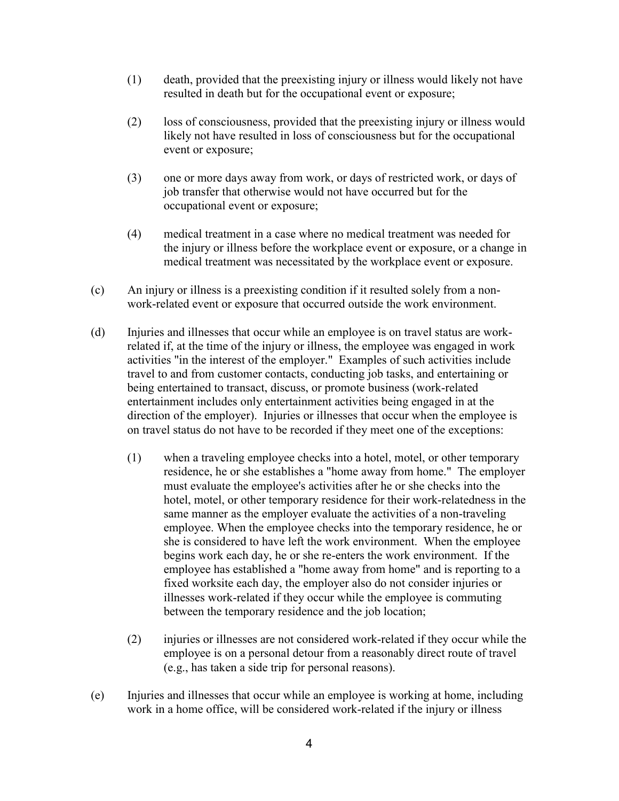- (1) death, provided that the preexisting injury or illness would likely not have resulted in death but for the occupational event or exposure;
- (2) loss of consciousness, provided that the preexisting injury or illness would likely not have resulted in loss of consciousness but for the occupational event or exposure;
- (3) one or more days away from work, or days of restricted work, or days of job transfer that otherwise would not have occurred but for the occupational event or exposure;
- (4) medical treatment in a case where no medical treatment was needed for the injury or illness before the workplace event or exposure, or a change in medical treatment was necessitated by the workplace event or exposure.
- (c) An injury or illness is a preexisting condition if it resulted solely from a nonwork-related event or exposure that occurred outside the work environment.
- (d) Injuries and illnesses that occur while an employee is on travel status are workrelated if, at the time of the injury or illness, the employee was engaged in work activities "in the interest of the employer." Examples of such activities include travel to and from customer contacts, conducting job tasks, and entertaining or being entertained to transact, discuss, or promote business (work-related entertainment includes only entertainment activities being engaged in at the direction of the employer). Injuries or illnesses that occur when the employee is on travel status do not have to be recorded if they meet one of the exceptions:
	- (1) when a traveling employee checks into a hotel, motel, or other temporary residence, he or she establishes a "home away from home." The employer must evaluate the employee's activities after he or she checks into the hotel, motel, or other temporary residence for their work-relatedness in the same manner as the employer evaluate the activities of a non-traveling employee. When the employee checks into the temporary residence, he or she is considered to have left the work environment. When the employee begins work each day, he or she re-enters the work environment. If the employee has established a "home away from home" and is reporting to a fixed worksite each day, the employer also do not consider injuries or illnesses work-related if they occur while the employee is commuting between the temporary residence and the job location;
	- (2) injuries or illnesses are not considered work-related if they occur while the employee is on a personal detour from a reasonably direct route of travel (e.g., has taken a side trip for personal reasons).
- (e) Injuries and illnesses that occur while an employee is working at home, including work in a home office, will be considered work-related if the injury or illness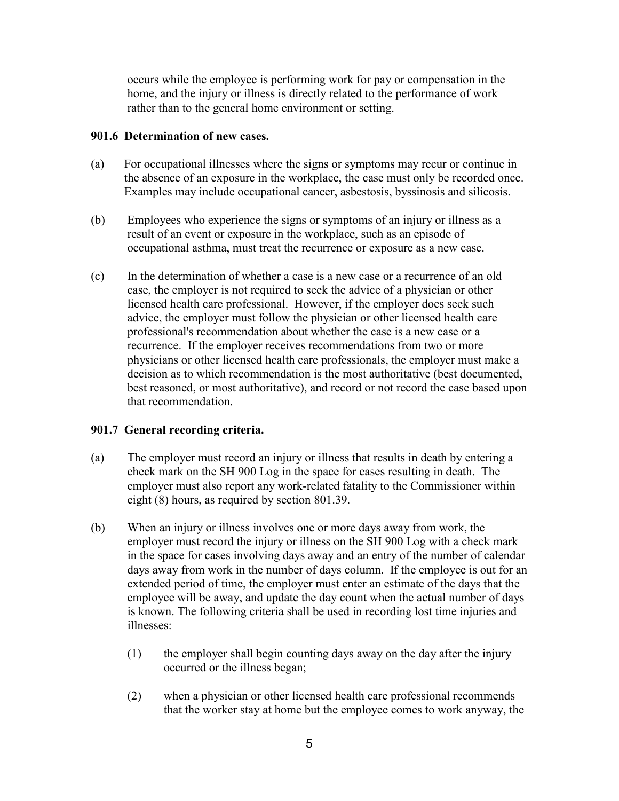occurs while the employee is performing work for pay or compensation in the home, and the injury or illness is directly related to the performance of work rather than to the general home environment or setting.

### **901.6 Determination of new cases.**

- (a) For occupational illnesses where the signs or symptoms may recur or continue in the absence of an exposure in the workplace, the case must only be recorded once. Examples may include occupational cancer, asbestosis, byssinosis and silicosis.
- (b) Employees who experience the signs or symptoms of an injury or illness as a result of an event or exposure in the workplace, such as an episode of occupational asthma, must treat the recurrence or exposure as a new case.
- (c) In the determination of whether a case is a new case or a recurrence of an old case, the employer is not required to seek the advice of a physician or other licensed health care professional. However, if the employer does seek such advice, the employer must follow the physician or other licensed health care professional's recommendation about whether the case is a new case or a recurrence. If the employer receives recommendations from two or more physicians or other licensed health care professionals, the employer must make a decision as to which recommendation is the most authoritative (best documented, best reasoned, or most authoritative), and record or not record the case based upon that recommendation.

### **901.7 General recording criteria.**

- (a) The employer must record an injury or illness that results in death by entering a check mark on the SH 900 Log in the space for cases resulting in death. The employer must also report any work-related fatality to the Commissioner within eight (8) hours, as required by section 801.39.
- (b) When an injury or illness involves one or more days away from work, the employer must record the injury or illness on the SH 900 Log with a check mark in the space for cases involving days away and an entry of the number of calendar days away from work in the number of days column. If the employee is out for an extended period of time, the employer must enter an estimate of the days that the employee will be away, and update the day count when the actual number of days is known. The following criteria shall be used in recording lost time injuries and illnesses:
	- (1) the employer shall begin counting days away on the day after the injury occurred or the illness began;
	- (2) when a physician or other licensed health care professional recommends that the worker stay at home but the employee comes to work anyway, the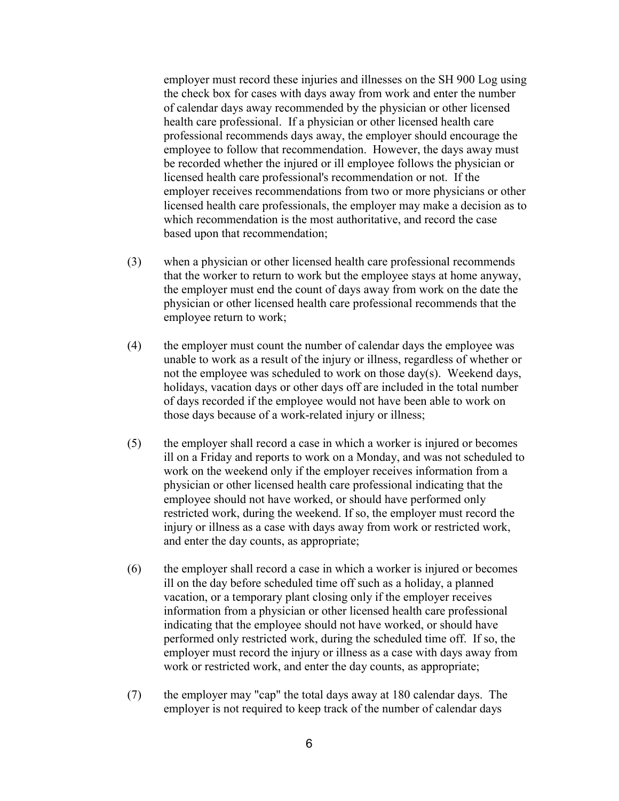employer must record these injuries and illnesses on the SH 900 Log using the check box for cases with days away from work and enter the number of calendar days away recommended by the physician or other licensed health care professional. If a physician or other licensed health care professional recommends days away, the employer should encourage the employee to follow that recommendation. However, the days away must be recorded whether the injured or ill employee follows the physician or licensed health care professional's recommendation or not. If the employer receives recommendations from two or more physicians or other licensed health care professionals, the employer may make a decision as to which recommendation is the most authoritative, and record the case based upon that recommendation;

- (3) when a physician or other licensed health care professional recommends that the worker to return to work but the employee stays at home anyway, the employer must end the count of days away from work on the date the physician or other licensed health care professional recommends that the employee return to work;
- (4) the employer must count the number of calendar days the employee was unable to work as a result of the injury or illness, regardless of whether or not the employee was scheduled to work on those day(s). Weekend days, holidays, vacation days or other days off are included in the total number of days recorded if the employee would not have been able to work on those days because of a work-related injury or illness;
- (5) the employer shall record a case in which a worker is injured or becomes ill on a Friday and reports to work on a Monday, and was not scheduled to work on the weekend only if the employer receives information from a physician or other licensed health care professional indicating that the employee should not have worked, or should have performed only restricted work, during the weekend. If so, the employer must record the injury or illness as a case with days away from work or restricted work, and enter the day counts, as appropriate;
- (6) the employer shall record a case in which a worker is injured or becomes ill on the day before scheduled time off such as a holiday, a planned vacation, or a temporary plant closing only if the employer receives information from a physician or other licensed health care professional indicating that the employee should not have worked, or should have performed only restricted work, during the scheduled time off. If so, the employer must record the injury or illness as a case with days away from work or restricted work, and enter the day counts, as appropriate;
- (7) the employer may "cap" the total days away at 180 calendar days. The employer is not required to keep track of the number of calendar days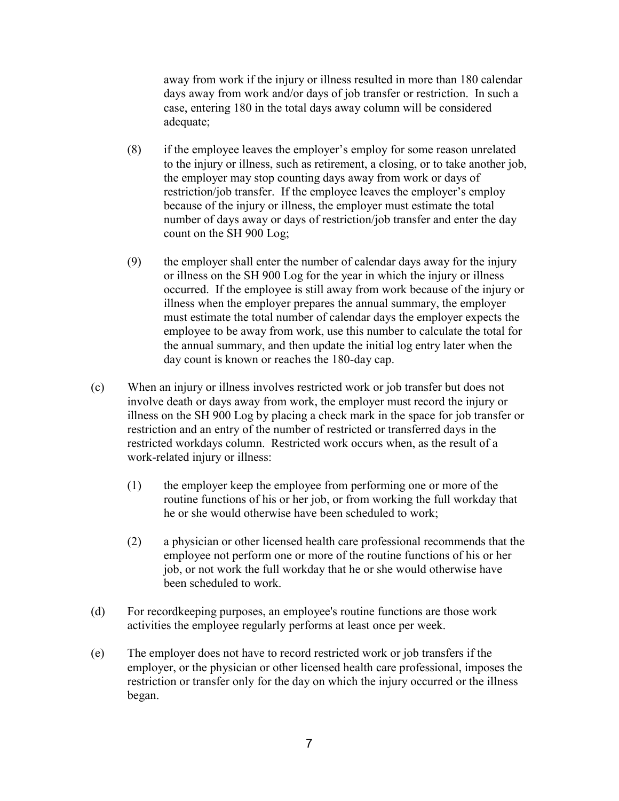away from work if the injury or illness resulted in more than 180 calendar days away from work and/or days of job transfer or restriction. In such a case, entering 180 in the total days away column will be considered adequate;

- (8) if the employee leaves the employer's employ for some reason unrelated to the injury or illness, such as retirement, a closing, or to take another job, the employer may stop counting days away from work or days of restriction/job transfer. If the employee leaves the employer's employ because of the injury or illness, the employer must estimate the total number of days away or days of restriction/job transfer and enter the day count on the SH 900 Log;
- (9) the employer shall enter the number of calendar days away for the injury or illness on the SH 900 Log for the year in which the injury or illness occurred. If the employee is still away from work because of the injury or illness when the employer prepares the annual summary, the employer must estimate the total number of calendar days the employer expects the employee to be away from work, use this number to calculate the total for the annual summary, and then update the initial log entry later when the day count is known or reaches the 180-day cap.
- (c) When an injury or illness involves restricted work or job transfer but does not involve death or days away from work, the employer must record the injury or illness on the SH 900 Log by placing a check mark in the space for job transfer or restriction and an entry of the number of restricted or transferred days in the restricted workdays column. Restricted work occurs when, as the result of a work-related injury or illness:
	- (1) the employer keep the employee from performing one or more of the routine functions of his or her job, or from working the full workday that he or she would otherwise have been scheduled to work;
	- (2) a physician or other licensed health care professional recommends that the employee not perform one or more of the routine functions of his or her job, or not work the full workday that he or she would otherwise have been scheduled to work.
- (d) For recordkeeping purposes, an employee's routine functions are those work activities the employee regularly performs at least once per week.
- (e) The employer does not have to record restricted work or job transfers if the employer, or the physician or other licensed health care professional, imposes the restriction or transfer only for the day on which the injury occurred or the illness began.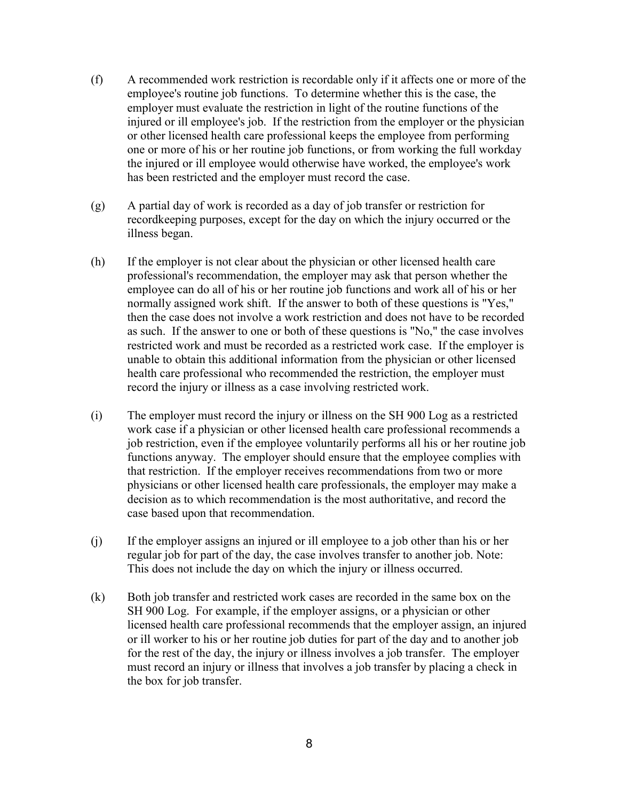- (f) A recommended work restriction is recordable only if it affects one or more of the employee's routine job functions. To determine whether this is the case, the employer must evaluate the restriction in light of the routine functions of the injured or ill employee's job. If the restriction from the employer or the physician or other licensed health care professional keeps the employee from performing one or more of his or her routine job functions, or from working the full workday the injured or ill employee would otherwise have worked, the employee's work has been restricted and the employer must record the case.
- (g) A partial day of work is recorded as a day of job transfer or restriction for recordkeeping purposes, except for the day on which the injury occurred or the illness began.
- (h) If the employer is not clear about the physician or other licensed health care professional's recommendation, the employer may ask that person whether the employee can do all of his or her routine job functions and work all of his or her normally assigned work shift. If the answer to both of these questions is "Yes," then the case does not involve a work restriction and does not have to be recorded as such. If the answer to one or both of these questions is "No," the case involves restricted work and must be recorded as a restricted work case. If the employer is unable to obtain this additional information from the physician or other licensed health care professional who recommended the restriction, the employer must record the injury or illness as a case involving restricted work.
- (i) The employer must record the injury or illness on the SH 900 Log as a restricted work case if a physician or other licensed health care professional recommends a job restriction, even if the employee voluntarily performs all his or her routine job functions anyway. The employer should ensure that the employee complies with that restriction. If the employer receives recommendations from two or more physicians or other licensed health care professionals, the employer may make a decision as to which recommendation is the most authoritative, and record the case based upon that recommendation.
- (j) If the employer assigns an injured or ill employee to a job other than his or her regular job for part of the day, the case involves transfer to another job. Note: This does not include the day on which the injury or illness occurred.
- (k) Both job transfer and restricted work cases are recorded in the same box on the SH 900 Log. For example, if the employer assigns, or a physician or other licensed health care professional recommends that the employer assign, an injured or ill worker to his or her routine job duties for part of the day and to another job for the rest of the day, the injury or illness involves a job transfer. The employer must record an injury or illness that involves a job transfer by placing a check in the box for job transfer.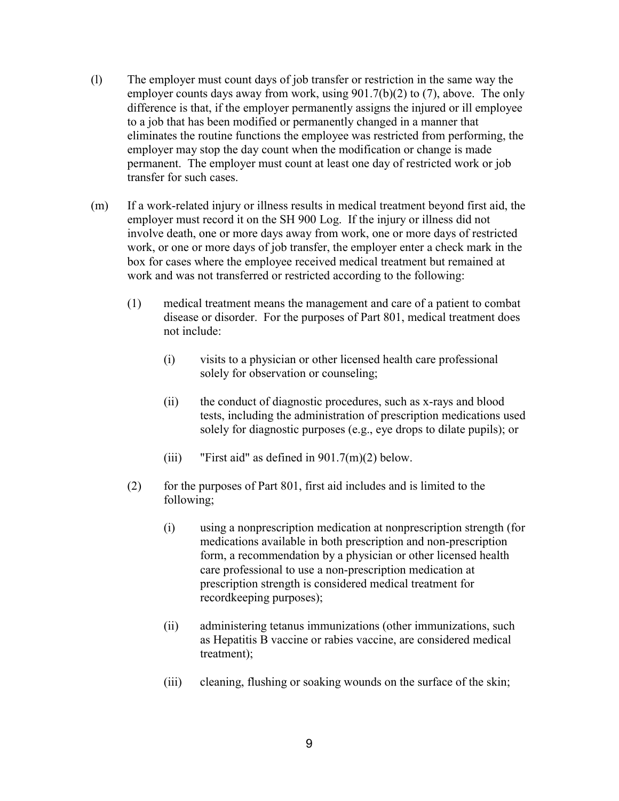- (l) The employer must count days of job transfer or restriction in the same way the employer counts days away from work, using 901.7(b)(2) to (7), above. The only difference is that, if the employer permanently assigns the injured or ill employee to a job that has been modified or permanently changed in a manner that eliminates the routine functions the employee was restricted from performing, the employer may stop the day count when the modification or change is made permanent. The employer must count at least one day of restricted work or job transfer for such cases.
- (m) If a work-related injury or illness results in medical treatment beyond first aid, the employer must record it on the SH 900 Log. If the injury or illness did not involve death, one or more days away from work, one or more days of restricted work, or one or more days of job transfer, the employer enter a check mark in the box for cases where the employee received medical treatment but remained at work and was not transferred or restricted according to the following:
	- (1) medical treatment means the management and care of a patient to combat disease or disorder. For the purposes of Part 801, medical treatment does not include:
		- (i) visits to a physician or other licensed health care professional solely for observation or counseling;
		- (ii) the conduct of diagnostic procedures, such as x-rays and blood tests, including the administration of prescription medications used solely for diagnostic purposes (e.g., eye drops to dilate pupils); or
		- (iii) "First aid" as defined in  $901.7(m)(2)$  below.
	- (2) for the purposes of Part 801, first aid includes and is limited to the following;
		- (i) using a nonprescription medication at nonprescription strength (for medications available in both prescription and non-prescription form, a recommendation by a physician or other licensed health care professional to use a non-prescription medication at prescription strength is considered medical treatment for recordkeeping purposes);
		- (ii) administering tetanus immunizations (other immunizations, such as Hepatitis B vaccine or rabies vaccine, are considered medical treatment);
		- (iii) cleaning, flushing or soaking wounds on the surface of the skin;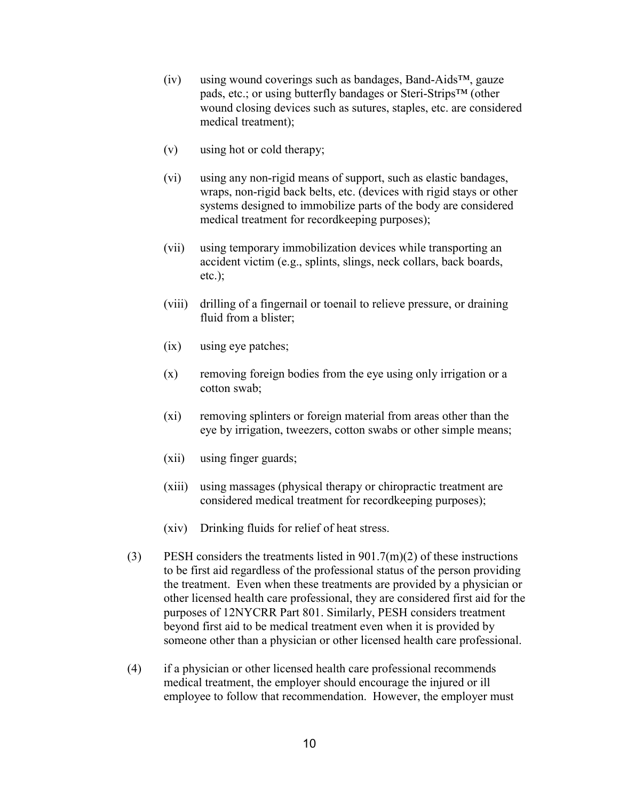- (iv) using wound coverings such as bandages, Band-Aids™, gauze pads, etc.; or using butterfly bandages or Steri-Strips™ (other wound closing devices such as sutures, staples, etc. are considered medical treatment);
- (v) using hot or cold therapy;
- (vi) using any non-rigid means of support, such as elastic bandages, wraps, non-rigid back belts, etc. (devices with rigid stays or other systems designed to immobilize parts of the body are considered medical treatment for recordkeeping purposes);
- (vii) using temporary immobilization devices while transporting an accident victim (e.g., splints, slings, neck collars, back boards,  $etc.$ );
- (viii) drilling of a fingernail or toenail to relieve pressure, or draining fluid from a blister;
- (ix) using eye patches;
- $(x)$  removing foreign bodies from the eye using only irrigation or a cotton swab;
- (xi) removing splinters or foreign material from areas other than the eye by irrigation, tweezers, cotton swabs or other simple means;
- (xii) using finger guards;
- (xiii) using massages (physical therapy or chiropractic treatment are considered medical treatment for recordkeeping purposes);
- (xiv) Drinking fluids for relief of heat stress.
- (3) PESH considers the treatments listed in  $901.7(m)(2)$  of these instructions to be first aid regardless of the professional status of the person providing the treatment. Even when these treatments are provided by a physician or other licensed health care professional, they are considered first aid for the purposes of 12NYCRR Part 801. Similarly, PESH considers treatment beyond first aid to be medical treatment even when it is provided by someone other than a physician or other licensed health care professional.
- (4) if a physician or other licensed health care professional recommends medical treatment, the employer should encourage the injured or ill employee to follow that recommendation. However, the employer must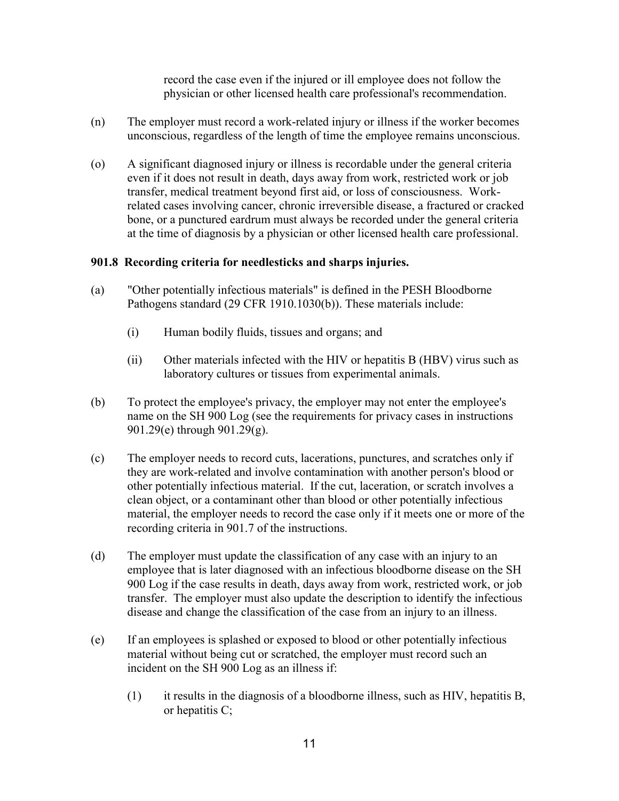record the case even if the injured or ill employee does not follow the physician or other licensed health care professional's recommendation.

- (n) The employer must record a work-related injury or illness if the worker becomes unconscious, regardless of the length of time the employee remains unconscious.
- (o) A significant diagnosed injury or illness is recordable under the general criteria even if it does not result in death, days away from work, restricted work or job transfer, medical treatment beyond first aid, or loss of consciousness. Workrelated cases involving cancer, chronic irreversible disease, a fractured or cracked bone, or a punctured eardrum must always be recorded under the general criteria at the time of diagnosis by a physician or other licensed health care professional.

# **901.8 Recording criteria for needlesticks and sharps injuries.**

- (a) "Other potentially infectious materials" is defined in the PESH Bloodborne Pathogens standard (29 CFR 1910.1030(b)). These materials include:
	- (i) Human bodily fluids, tissues and organs; and
	- (ii) Other materials infected with the HIV or hepatitis B (HBV) virus such as laboratory cultures or tissues from experimental animals.
- (b) To protect the employee's privacy, the employer may not enter the employee's name on the SH 900 Log (see the requirements for privacy cases in instructions 901.29(e) through 901.29(g).
- (c) The employer needs to record cuts, lacerations, punctures, and scratches only if they are work-related and involve contamination with another person's blood or other potentially infectious material. If the cut, laceration, or scratch involves a clean object, or a contaminant other than blood or other potentially infectious material, the employer needs to record the case only if it meets one or more of the recording criteria in 901.7 of the instructions.
- (d) The employer must update the classification of any case with an injury to an employee that is later diagnosed with an infectious bloodborne disease on the SH 900 Log if the case results in death, days away from work, restricted work, or job transfer. The employer must also update the description to identify the infectious disease and change the classification of the case from an injury to an illness.
- (e) If an employees is splashed or exposed to blood or other potentially infectious material without being cut or scratched, the employer must record such an incident on the SH 900 Log as an illness if:
	- (1) it results in the diagnosis of a bloodborne illness, such as HIV, hepatitis B, or hepatitis C;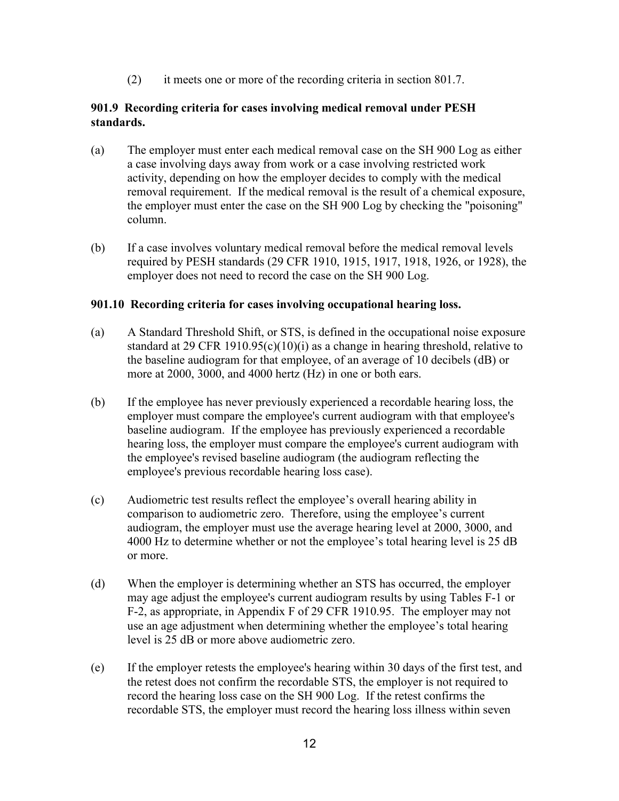(2) it meets one or more of the recording criteria in section 801.7.

# **901.9 Recording criteria for cases involving medical removal under PESH standards.**

- (a) The employer must enter each medical removal case on the SH 900 Log as either a case involving days away from work or a case involving restricted work activity, depending on how the employer decides to comply with the medical removal requirement. If the medical removal is the result of a chemical exposure, the employer must enter the case on the SH 900 Log by checking the "poisoning" column.
- (b) If a case involves voluntary medical removal before the medical removal levels required by PESH standards (29 CFR 1910, 1915, 1917, 1918, 1926, or 1928), the employer does not need to record the case on the SH 900 Log.

### **901.10 Recording criteria for cases involving occupational hearing loss.**

- (a) A Standard Threshold Shift, or STS, is defined in the occupational noise exposure standard at 29 CFR 1910.95(c)(10)(i) as a change in hearing threshold, relative to the baseline audiogram for that employee, of an average of 10 decibels (dB) or more at 2000, 3000, and 4000 hertz (Hz) in one or both ears.
- (b) If the employee has never previously experienced a recordable hearing loss, the employer must compare the employee's current audiogram with that employee's baseline audiogram. If the employee has previously experienced a recordable hearing loss, the employer must compare the employee's current audiogram with the employee's revised baseline audiogram (the audiogram reflecting the employee's previous recordable hearing loss case).
- (c) Audiometric test results reflect the employee's overall hearing ability in comparison to audiometric zero. Therefore, using the employee's current audiogram, the employer must use the average hearing level at 2000, 3000, and 4000 Hz to determine whether or not the employee's total hearing level is 25 dB or more.
- (d) When the employer is determining whether an STS has occurred, the employer may age adjust the employee's current audiogram results by using Tables F-1 or F-2, as appropriate, in Appendix F of 29 CFR 1910.95. The employer may not use an age adjustment when determining whether the employee's total hearing level is 25 dB or more above audiometric zero.
- (e) If the employer retests the employee's hearing within 30 days of the first test, and the retest does not confirm the recordable STS, the employer is not required to record the hearing loss case on the SH 900 Log. If the retest confirms the recordable STS, the employer must record the hearing loss illness within seven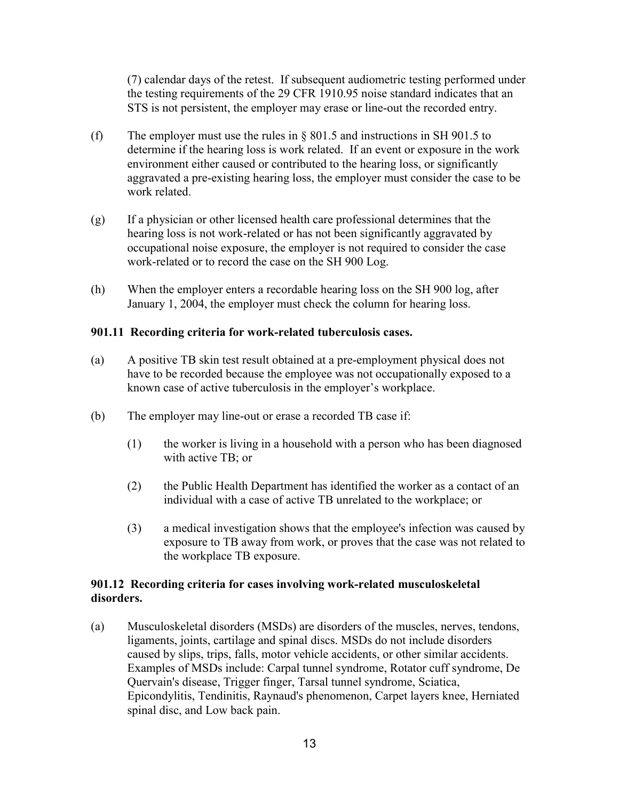(7) calendar days of the retest. If subsequent audiometric testing performed under the testing requirements of the 29 CFR 1910.95 noise standard indicates that an STS is not persistent, the employer may erase or line-out the recorded entry.

- (f) The employer must use the rules in § 801.5 and instructions in SH 901.5 to determine if the hearing loss is work related. If an event or exposure in the work environment either caused or contributed to the hearing loss, or significantly aggravated a pre-existing hearing loss, the employer must consider the case to be work related
- (g) If a physician or other licensed health care professional determines that the hearing loss is not work-related or has not been significantly aggravated by occupational noise exposure, the employer is not required to consider the case work-related or to record the case on the SH 900 Log.
- (h) When the employer enters a recordable hearing loss on the SH 900 log, after January 1, 2004, the employer must check the column for hearing loss.

# **901.11 Recording criteria for work-related tuberculosis cases.**

- (a) A positive TB skin test result obtained at a pre-employment physical does not have to be recorded because the employee was not occupationally exposed to a known case of active tuberculosis in the employer's workplace.
- (b) The employer may line-out or erase a recorded TB case if:
	- (1) the worker is living in a household with a person who has been diagnosed with active TB; or
	- (2) the Public Health Department has identified the worker as a contact of an individual with a case of active TB unrelated to the workplace; or
	- (3) a medical investigation shows that the employee's infection was caused by exposure to TB away from work, or proves that the case was not related to the workplace TB exposure.

# **901.12 Recording criteria for cases involving work-related musculoskeletal disorders.**

(a) Musculoskeletal disorders (MSDs) are disorders of the muscles, nerves, tendons, ligaments, joints, cartilage and spinal discs. MSDs do not include disorders caused by slips, trips, falls, motor vehicle accidents, or other similar accidents. Examples of MSDs include: Carpal tunnel syndrome, Rotator cuff syndrome, De Quervain's disease, Trigger finger, Tarsal tunnel syndrome, Sciatica, Epicondylitis, Tendinitis, Raynaud's phenomenon, Carpet layers knee, Herniated spinal disc, and Low back pain.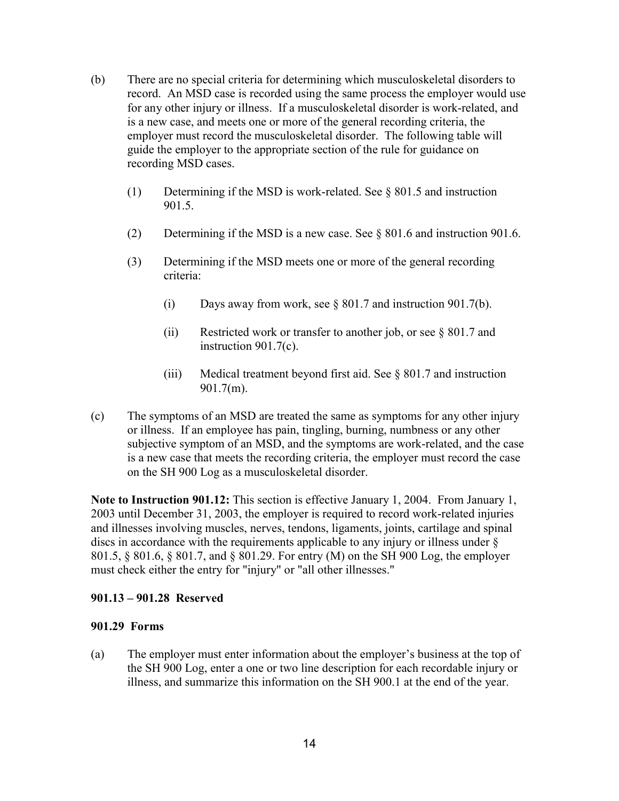- (b) There are no special criteria for determining which musculoskeletal disorders to record. An MSD case is recorded using the same process the employer would use for any other injury or illness. If a musculoskeletal disorder is work-related, and is a new case, and meets one or more of the general recording criteria, the employer must record the musculoskeletal disorder. The following table will guide the employer to the appropriate section of the rule for guidance on recording MSD cases.
	- (1) Determining if the MSD is work-related. See § 801.5 and instruction 901.5.
	- (2) Determining if the MSD is a new case. See § 801.6 and instruction 901.6.
	- (3) Determining if the MSD meets one or more of the general recording criteria:
		- (i) Days away from work, see § 801.7 and instruction 901.7(b).
		- (ii) Restricted work or transfer to another job, or see § 801.7 and instruction 901.7(c).
		- (iii) Medical treatment beyond first aid. See § 801.7 and instruction 901.7(m).
- (c) The symptoms of an MSD are treated the same as symptoms for any other injury or illness. If an employee has pain, tingling, burning, numbness or any other subjective symptom of an MSD, and the symptoms are work-related, and the case is a new case that meets the recording criteria, the employer must record the case on the SH 900 Log as a musculoskeletal disorder.

**Note to Instruction 901.12:** This section is effective January 1, 2004. From January 1, 2003 until December 31, 2003, the employer is required to record work-related injuries and illnesses involving muscles, nerves, tendons, ligaments, joints, cartilage and spinal discs in accordance with the requirements applicable to any injury or illness under § 801.5, § 801.6, § 801.7, and § 801.29. For entry (M) on the SH 900 Log, the employer must check either the entry for "injury" or "all other illnesses."

### **901.13 – 901.28 Reserved**

### **901.29 Forms**

(a) The employer must enter information about the employer's business at the top of the SH 900 Log, enter a one or two line description for each recordable injury or illness, and summarize this information on the SH 900.1 at the end of the year.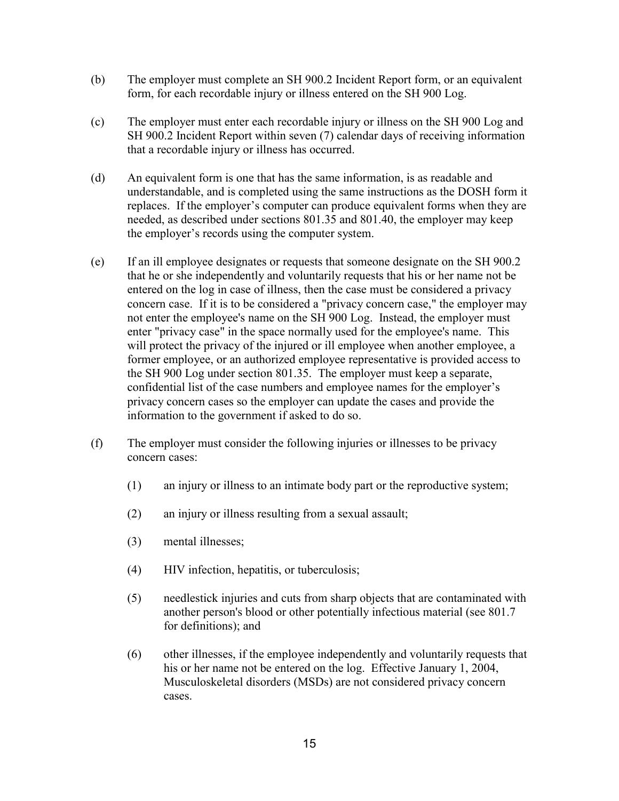- (b) The employer must complete an SH 900.2 Incident Report form, or an equivalent form, for each recordable injury or illness entered on the SH 900 Log.
- (c) The employer must enter each recordable injury or illness on the SH 900 Log and SH 900.2 Incident Report within seven (7) calendar days of receiving information that a recordable injury or illness has occurred.
- (d) An equivalent form is one that has the same information, is as readable and understandable, and is completed using the same instructions as the DOSH form it replaces. If the employer's computer can produce equivalent forms when they are needed, as described under sections 801.35 and 801.40, the employer may keep the employer's records using the computer system.
- (e) If an ill employee designates or requests that someone designate on the SH 900.2 that he or she independently and voluntarily requests that his or her name not be entered on the log in case of illness, then the case must be considered a privacy concern case. If it is to be considered a "privacy concern case," the employer may not enter the employee's name on the SH 900 Log. Instead, the employer must enter "privacy case" in the space normally used for the employee's name. This will protect the privacy of the injured or ill employee when another employee, a former employee, or an authorized employee representative is provided access to the SH 900 Log under section 801.35. The employer must keep a separate, confidential list of the case numbers and employee names for the employer's privacy concern cases so the employer can update the cases and provide the information to the government if asked to do so.
- (f) The employer must consider the following injuries or illnesses to be privacy concern cases:
	- (1) an injury or illness to an intimate body part or the reproductive system;
	- (2) an injury or illness resulting from a sexual assault;
	- (3) mental illnesses;
	- (4) HIV infection, hepatitis, or tuberculosis;
	- (5) needlestick injuries and cuts from sharp objects that are contaminated with another person's blood or other potentially infectious material (see 801.7 for definitions); and
	- (6) other illnesses, if the employee independently and voluntarily requests that his or her name not be entered on the log. Effective January 1, 2004, Musculoskeletal disorders (MSDs) are not considered privacy concern cases.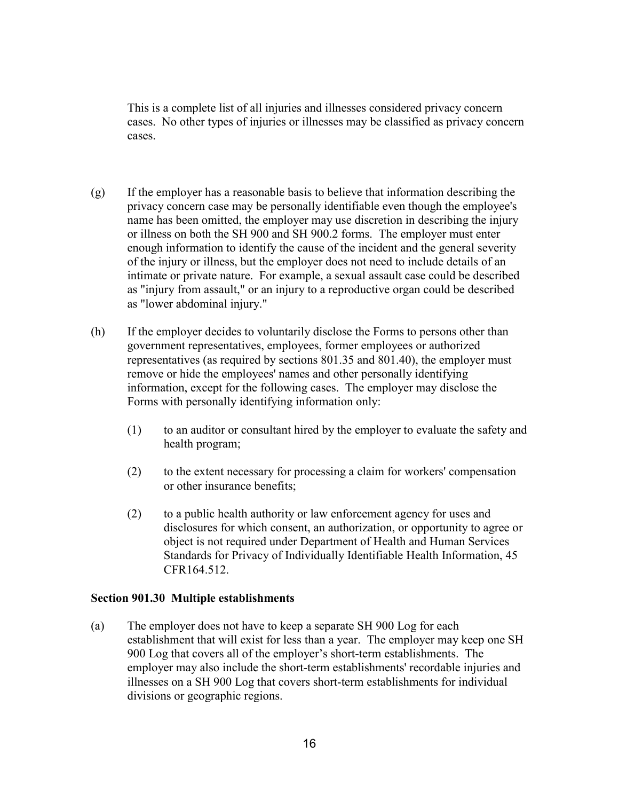This is a complete list of all injuries and illnesses considered privacy concern cases. No other types of injuries or illnesses may be classified as privacy concern cases.

- (g) If the employer has a reasonable basis to believe that information describing the privacy concern case may be personally identifiable even though the employee's name has been omitted, the employer may use discretion in describing the injury or illness on both the SH 900 and SH 900.2 forms. The employer must enter enough information to identify the cause of the incident and the general severity of the injury or illness, but the employer does not need to include details of an intimate or private nature. For example, a sexual assault case could be described as "injury from assault," or an injury to a reproductive organ could be described as "lower abdominal injury."
- (h) If the employer decides to voluntarily disclose the Forms to persons other than government representatives, employees, former employees or authorized representatives (as required by sections 801.35 and 801.40), the employer must remove or hide the employees' names and other personally identifying information, except for the following cases. The employer may disclose the Forms with personally identifying information only:
	- (1) to an auditor or consultant hired by the employer to evaluate the safety and health program;
	- (2) to the extent necessary for processing a claim for workers' compensation or other insurance benefits;
	- (2) to a public health authority or law enforcement agency for uses and disclosures for which consent, an authorization, or opportunity to agree or object is not required under Department of Health and Human Services Standards for Privacy of Individually Identifiable Health Information, 45 CFR164.512.

### **Section 901.30 Multiple establishments**

(a) The employer does not have to keep a separate SH 900 Log for each establishment that will exist for less than a year. The employer may keep one SH 900 Log that covers all of the employer's short-term establishments. The employer may also include the short-term establishments' recordable injuries and illnesses on a SH 900 Log that covers short-term establishments for individual divisions or geographic regions.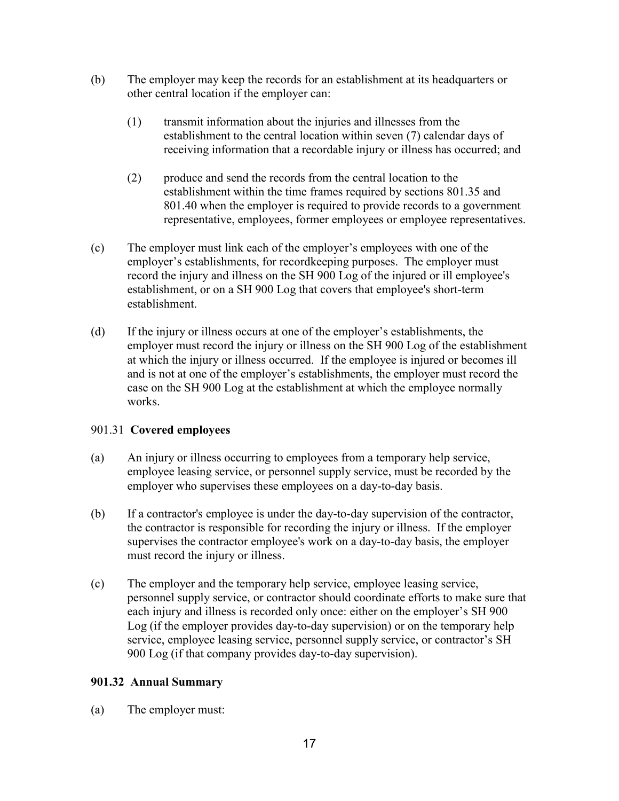- (b) The employer may keep the records for an establishment at its headquarters or other central location if the employer can:
	- (1) transmit information about the injuries and illnesses from the establishment to the central location within seven (7) calendar days of receiving information that a recordable injury or illness has occurred; and
	- (2) produce and send the records from the central location to the establishment within the time frames required by sections 801.35 and 801.40 when the employer is required to provide records to a government representative, employees, former employees or employee representatives.
- (c) The employer must link each of the employer's employees with one of the employer's establishments, for recordkeeping purposes. The employer must record the injury and illness on the SH 900 Log of the injured or ill employee's establishment, or on a SH 900 Log that covers that employee's short-term establishment.
- (d) If the injury or illness occurs at one of the employer's establishments, the employer must record the injury or illness on the SH 900 Log of the establishment at which the injury or illness occurred. If the employee is injured or becomes ill and is not at one of the employer's establishments, the employer must record the case on the SH 900 Log at the establishment at which the employee normally works.

# 901.31 **Covered employees**

- (a) An injury or illness occurring to employees from a temporary help service, employee leasing service, or personnel supply service, must be recorded by the employer who supervises these employees on a day-to-day basis.
- (b) If a contractor's employee is under the day-to-day supervision of the contractor, the contractor is responsible for recording the injury or illness. If the employer supervises the contractor employee's work on a day-to-day basis, the employer must record the injury or illness.
- (c) The employer and the temporary help service, employee leasing service, personnel supply service, or contractor should coordinate efforts to make sure that each injury and illness is recorded only once: either on the employer's SH 900 Log (if the employer provides day-to-day supervision) or on the temporary help service, employee leasing service, personnel supply service, or contractor's SH 900 Log (if that company provides day-to-day supervision).

# **901.32 Annual Summary**

(a) The employer must: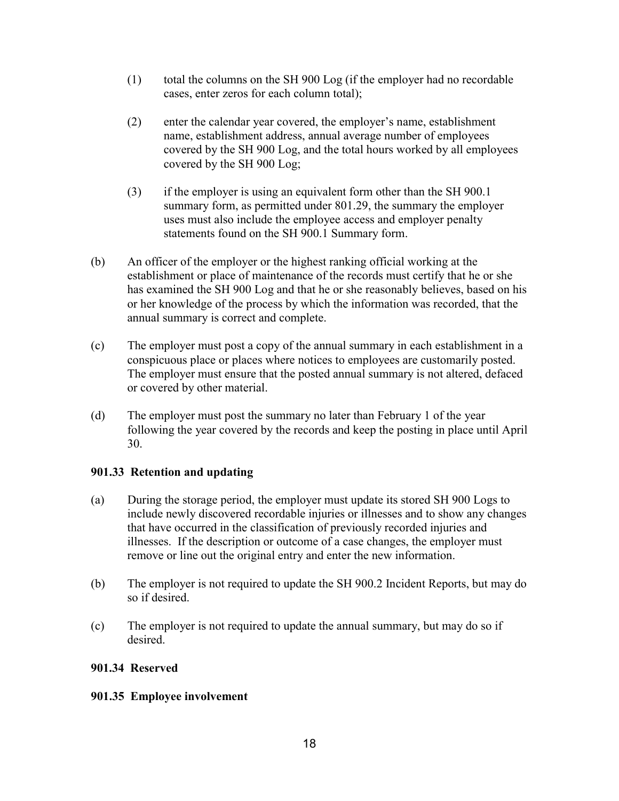- (1) total the columns on the SH 900 Log (if the employer had no recordable cases, enter zeros for each column total);
- (2) enter the calendar year covered, the employer's name, establishment name, establishment address, annual average number of employees covered by the SH 900 Log, and the total hours worked by all employees covered by the SH 900 Log;
- (3) if the employer is using an equivalent form other than the SH 900.1 summary form, as permitted under 801.29, the summary the employer uses must also include the employee access and employer penalty statements found on the SH 900.1 Summary form.
- (b) An officer of the employer or the highest ranking official working at the establishment or place of maintenance of the records must certify that he or she has examined the SH 900 Log and that he or she reasonably believes, based on his or her knowledge of the process by which the information was recorded, that the annual summary is correct and complete.
- (c) The employer must post a copy of the annual summary in each establishment in a conspicuous place or places where notices to employees are customarily posted. The employer must ensure that the posted annual summary is not altered, defaced or covered by other material.
- (d) The employer must post the summary no later than February 1 of the year following the year covered by the records and keep the posting in place until April 30.

# **901.33 Retention and updating**

- (a) During the storage period, the employer must update its stored SH 900 Logs to include newly discovered recordable injuries or illnesses and to show any changes that have occurred in the classification of previously recorded injuries and illnesses. If the description or outcome of a case changes, the employer must remove or line out the original entry and enter the new information.
- (b) The employer is not required to update the SH 900.2 Incident Reports, but may do so if desired.
- (c) The employer is not required to update the annual summary, but may do so if desired.

# **901.34 Reserved**

# **901.35 Employee involvement**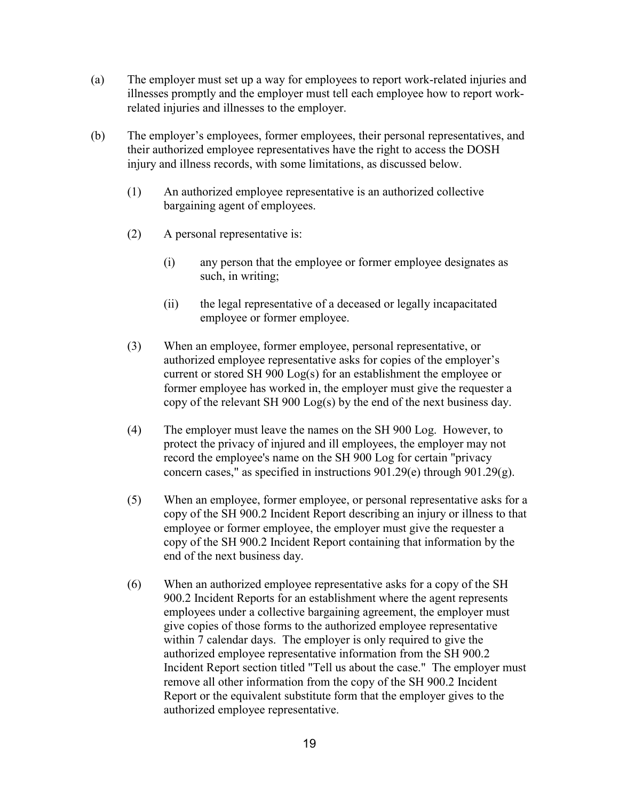- (a) The employer must set up a way for employees to report work-related injuries and illnesses promptly and the employer must tell each employee how to report workrelated injuries and illnesses to the employer.
- (b) The employer's employees, former employees, their personal representatives, and their authorized employee representatives have the right to access the DOSH injury and illness records, with some limitations, as discussed below.
	- (1) An authorized employee representative is an authorized collective bargaining agent of employees.
	- (2) A personal representative is:
		- (i) any person that the employee or former employee designates as such, in writing;
		- (ii) the legal representative of a deceased or legally incapacitated employee or former employee.
	- (3) When an employee, former employee, personal representative, or authorized employee representative asks for copies of the employer's current or stored SH 900 Log(s) for an establishment the employee or former employee has worked in, the employer must give the requester a copy of the relevant SH 900 Log(s) by the end of the next business day.
	- (4) The employer must leave the names on the SH 900 Log. However, to protect the privacy of injured and ill employees, the employer may not record the employee's name on the SH 900 Log for certain "privacy concern cases," as specified in instructions 901.29(e) through 901.29(g).
	- (5) When an employee, former employee, or personal representative asks for a copy of the SH 900.2 Incident Report describing an injury or illness to that employee or former employee, the employer must give the requester a copy of the SH 900.2 Incident Report containing that information by the end of the next business day.
	- (6) When an authorized employee representative asks for a copy of the SH 900.2 Incident Reports for an establishment where the agent represents employees under a collective bargaining agreement, the employer must give copies of those forms to the authorized employee representative within 7 calendar days. The employer is only required to give the authorized employee representative information from the SH 900.2 Incident Report section titled "Tell us about the case." The employer must remove all other information from the copy of the SH 900.2 Incident Report or the equivalent substitute form that the employer gives to the authorized employee representative.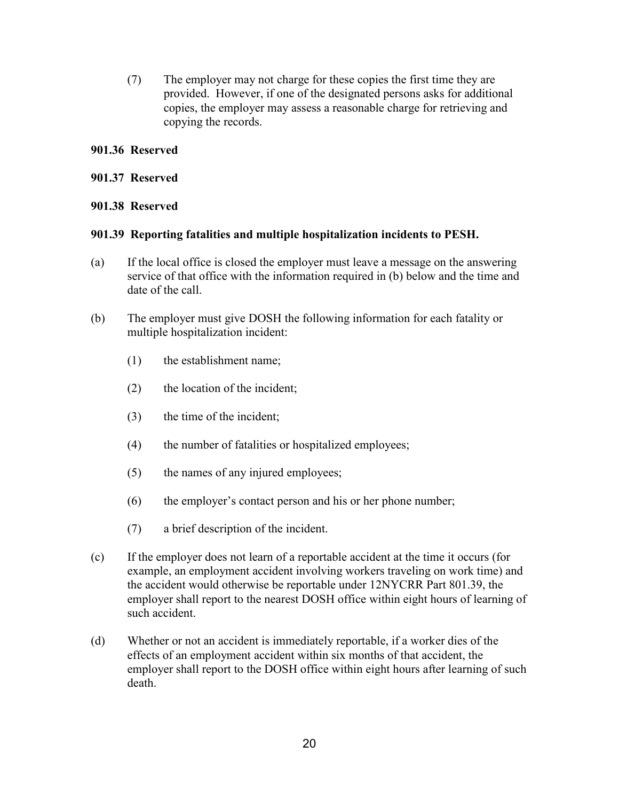(7) The employer may not charge for these copies the first time they are provided. However, if one of the designated persons asks for additional copies, the employer may assess a reasonable charge for retrieving and copying the records.

# **901.36 Reserved**

### **901.37 Reserved**

# **901.38 Reserved**

### **901.39 Reporting fatalities and multiple hospitalization incidents to PESH.**

- (a) If the local office is closed the employer must leave a message on the answering service of that office with the information required in (b) below and the time and date of the call.
- (b) The employer must give DOSH the following information for each fatality or multiple hospitalization incident:
	- (1) the establishment name;
	- (2) the location of the incident;
	- (3) the time of the incident;
	- (4) the number of fatalities or hospitalized employees;
	- (5) the names of any injured employees;
	- (6) the employer's contact person and his or her phone number;
	- (7) a brief description of the incident.
- (c) If the employer does not learn of a reportable accident at the time it occurs (for example, an employment accident involving workers traveling on work time) and the accident would otherwise be reportable under 12NYCRR Part 801.39, the employer shall report to the nearest DOSH office within eight hours of learning of such accident.
- (d) Whether or not an accident is immediately reportable, if a worker dies of the effects of an employment accident within six months of that accident, the employer shall report to the DOSH office within eight hours after learning of such death.